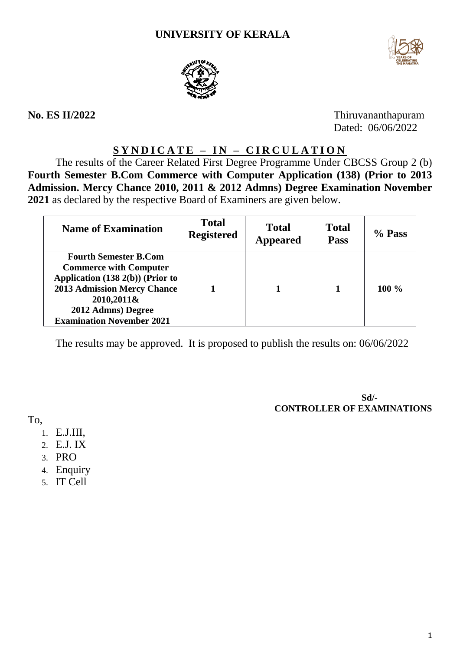## **UNIVERSITY OF KERALA**





**No. ES II/2022** Thiruvananthapuram Dated: 06/06/2022

# **S Y N D I C A T E – IN – C I R C U L A T I O N**

The results of the Career Related First Degree Programme Under CBCSS Group 2 (b) **Fourth Semester B.Com Commerce with Computer Application (138) (Prior to 2013 Admission. Mercy Chance 2010, 2011 & 2012 Admns) Degree Examination November 2021** as declared by the respective Board of Examiners are given below.

| <b>Name of Examination</b>                                                                                                                                                                                      | <b>Total</b><br><b>Registered</b> | <b>Total</b><br><b>Appeared</b> | <b>Total</b><br><b>Pass</b> | % Pass  |
|-----------------------------------------------------------------------------------------------------------------------------------------------------------------------------------------------------------------|-----------------------------------|---------------------------------|-----------------------------|---------|
| <b>Fourth Semester B.Com</b><br><b>Commerce with Computer</b><br>Application (138 2(b)) (Prior to<br><b>2013 Admission Mercy Chance</b><br>2010,2011&<br>2012 Admns) Degree<br><b>Examination November 2021</b> |                                   |                                 |                             | $100\%$ |

The results may be approved. It is proposed to publish the results on: 06/06/2022

**Sd/- CONTROLLER OF EXAMINATIONS**

To,

- 1. E.J.III,
- 2. E.J. IX
- 3. PRO
- 4. Enquiry
- 5. IT Cell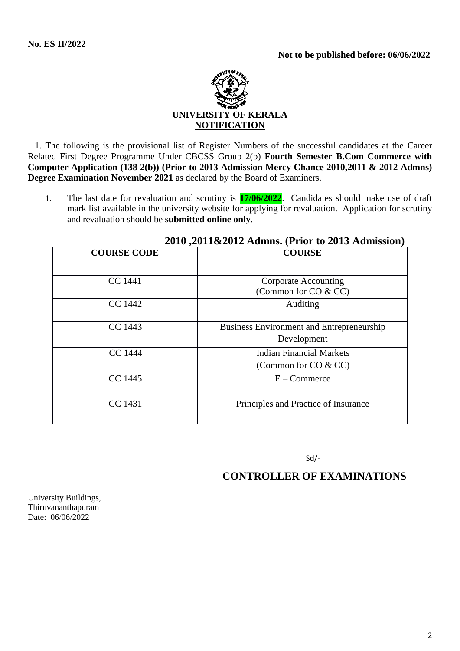

 1. The following is the provisional list of Register Numbers of the successful candidates at the Career Related First Degree Programme Under CBCSS Group 2(b) **Fourth Semester B.Com Commerce with Computer Application (138 2(b)) (Prior to 2013 Admission Mercy Chance 2010,2011 & 2012 Admns) Degree Examination November 2021** as declared by the Board of Examiners.

1. The last date for revaluation and scrutiny is **17/06/2022**. Candidates should make use of draft mark list available in the university website for applying for revaluation. Application for scrutiny and revaluation should be **submitted online only**.

| 2010 2011 Admins. (1 1101 to 2013 Adminstrati |                                           |  |
|-----------------------------------------------|-------------------------------------------|--|
| <b>COURSE CODE</b>                            | <b>COURSE</b>                             |  |
|                                               |                                           |  |
|                                               |                                           |  |
| CC 1441                                       | Corporate Accounting                      |  |
|                                               | (Common for CO & CC)                      |  |
| CC 1442                                       | Auditing                                  |  |
|                                               |                                           |  |
| CC 1443                                       | Business Environment and Entrepreneurship |  |
|                                               | Development                               |  |
| <b>CC</b> 1444                                | Indian Financial Markets                  |  |
|                                               | (Common for $CO & CC$ )                   |  |
| CC 1445                                       | $E -$ Commerce                            |  |
|                                               |                                           |  |
| CC 1431                                       | Principles and Practice of Insurance      |  |
|                                               |                                           |  |
|                                               |                                           |  |

### **2010 ,2011&2012 Admns. (Prior to 2013 Admission)**

Sd/-

# **CONTROLLER OF EXAMINATIONS**

University Buildings, Thiruvananthapuram Date: 06/06/2022